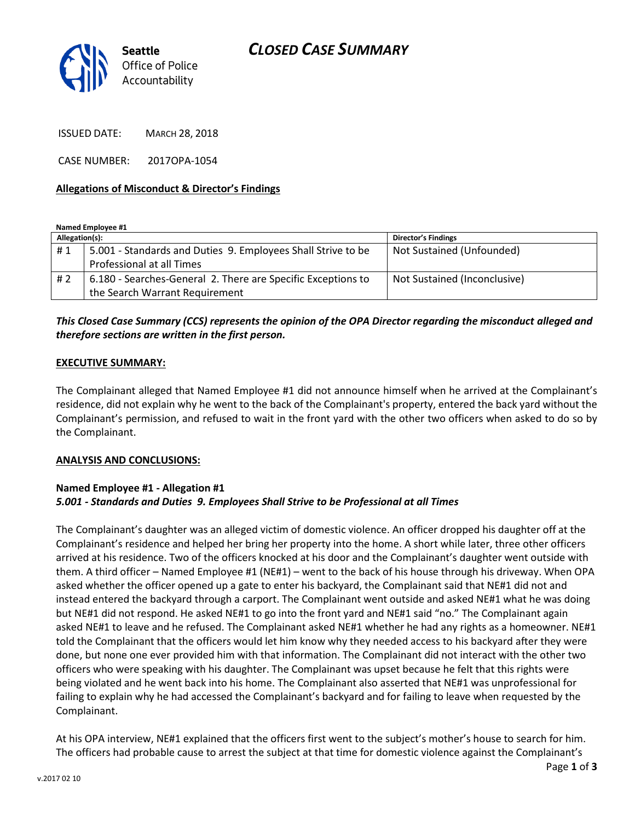# *CLOSED CASE SUMMARY*



ISSUED DATE: MARCH 28, 2018

CASE NUMBER: 2017OPA-1054

#### **Allegations of Misconduct & Director's Findings**

**Named Employee #1**

| Allegation(s): |                                                              | <b>Director's Findings</b>   |
|----------------|--------------------------------------------------------------|------------------------------|
| #1             | 5.001 - Standards and Duties 9. Employees Shall Strive to be | Not Sustained (Unfounded)    |
|                | Professional at all Times                                    |                              |
| #2             | 6.180 - Searches-General 2. There are Specific Exceptions to | Not Sustained (Inconclusive) |
|                | the Search Warrant Requirement                               |                              |

### *This Closed Case Summary (CCS) represents the opinion of the OPA Director regarding the misconduct alleged and therefore sections are written in the first person.*

#### **EXECUTIVE SUMMARY:**

The Complainant alleged that Named Employee #1 did not announce himself when he arrived at the Complainant's residence, did not explain why he went to the back of the Complainant's property, entered the back yard without the Complainant's permission, and refused to wait in the front yard with the other two officers when asked to do so by the Complainant.

#### **ANALYSIS AND CONCLUSIONS:**

### **Named Employee #1 - Allegation #1** *5.001 - Standards and Duties 9. Employees Shall Strive to be Professional at all Times*

The Complainant's daughter was an alleged victim of domestic violence. An officer dropped his daughter off at the Complainant's residence and helped her bring her property into the home. A short while later, three other officers arrived at his residence. Two of the officers knocked at his door and the Complainant's daughter went outside with them. A third officer – Named Employee #1 (NE#1) – went to the back of his house through his driveway. When OPA asked whether the officer opened up a gate to enter his backyard, the Complainant said that NE#1 did not and instead entered the backyard through a carport. The Complainant went outside and asked NE#1 what he was doing but NE#1 did not respond. He asked NE#1 to go into the front yard and NE#1 said "no." The Complainant again asked NE#1 to leave and he refused. The Complainant asked NE#1 whether he had any rights as a homeowner. NE#1 told the Complainant that the officers would let him know why they needed access to his backyard after they were done, but none one ever provided him with that information. The Complainant did not interact with the other two officers who were speaking with his daughter. The Complainant was upset because he felt that this rights were being violated and he went back into his home. The Complainant also asserted that NE#1 was unprofessional for failing to explain why he had accessed the Complainant's backyard and for failing to leave when requested by the Complainant.

At his OPA interview, NE#1 explained that the officers first went to the subject's mother's house to search for him. The officers had probable cause to arrest the subject at that time for domestic violence against the Complainant's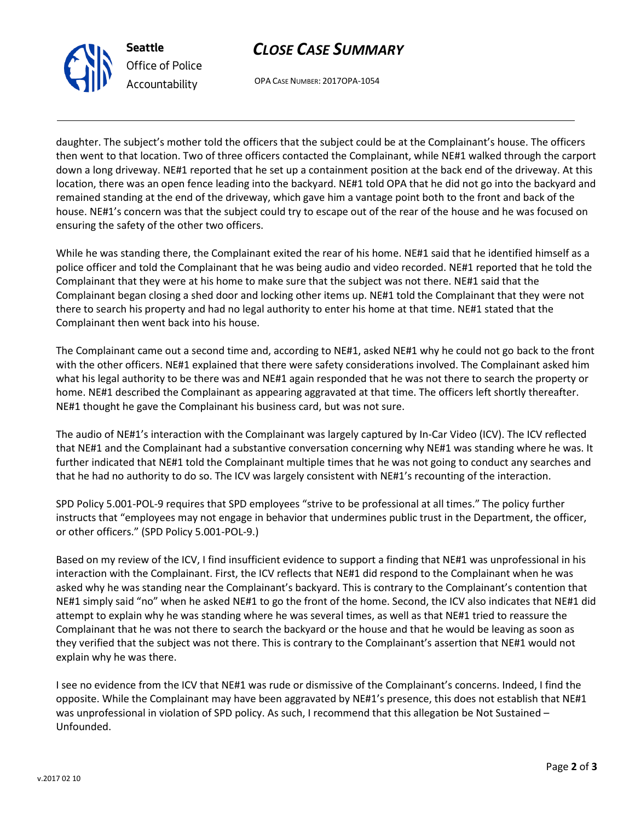



OPA CASE NUMBER: 2017OPA-1054

daughter. The subject's mother told the officers that the subject could be at the Complainant's house. The officers then went to that location. Two of three officers contacted the Complainant, while NE#1 walked through the carport down a long driveway. NE#1 reported that he set up a containment position at the back end of the driveway. At this location, there was an open fence leading into the backyard. NE#1 told OPA that he did not go into the backyard and remained standing at the end of the driveway, which gave him a vantage point both to the front and back of the house. NE#1's concern was that the subject could try to escape out of the rear of the house and he was focused on ensuring the safety of the other two officers.

While he was standing there, the Complainant exited the rear of his home. NE#1 said that he identified himself as a police officer and told the Complainant that he was being audio and video recorded. NE#1 reported that he told the Complainant that they were at his home to make sure that the subject was not there. NE#1 said that the Complainant began closing a shed door and locking other items up. NE#1 told the Complainant that they were not there to search his property and had no legal authority to enter his home at that time. NE#1 stated that the Complainant then went back into his house.

The Complainant came out a second time and, according to NE#1, asked NE#1 why he could not go back to the front with the other officers. NE#1 explained that there were safety considerations involved. The Complainant asked him what his legal authority to be there was and NE#1 again responded that he was not there to search the property or home. NE#1 described the Complainant as appearing aggravated at that time. The officers left shortly thereafter. NE#1 thought he gave the Complainant his business card, but was not sure.

The audio of NE#1's interaction with the Complainant was largely captured by In-Car Video (ICV). The ICV reflected that NE#1 and the Complainant had a substantive conversation concerning why NE#1 was standing where he was. It further indicated that NE#1 told the Complainant multiple times that he was not going to conduct any searches and that he had no authority to do so. The ICV was largely consistent with NE#1's recounting of the interaction.

SPD Policy 5.001-POL-9 requires that SPD employees "strive to be professional at all times." The policy further instructs that "employees may not engage in behavior that undermines public trust in the Department, the officer, or other officers." (SPD Policy 5.001-POL-9.)

Based on my review of the ICV, I find insufficient evidence to support a finding that NE#1 was unprofessional in his interaction with the Complainant. First, the ICV reflects that NE#1 did respond to the Complainant when he was asked why he was standing near the Complainant's backyard. This is contrary to the Complainant's contention that NE#1 simply said "no" when he asked NE#1 to go the front of the home. Second, the ICV also indicates that NE#1 did attempt to explain why he was standing where he was several times, as well as that NE#1 tried to reassure the Complainant that he was not there to search the backyard or the house and that he would be leaving as soon as they verified that the subject was not there. This is contrary to the Complainant's assertion that NE#1 would not explain why he was there.

I see no evidence from the ICV that NE#1 was rude or dismissive of the Complainant's concerns. Indeed, I find the opposite. While the Complainant may have been aggravated by NE#1's presence, this does not establish that NE#1 was unprofessional in violation of SPD policy. As such, I recommend that this allegation be Not Sustained – Unfounded.